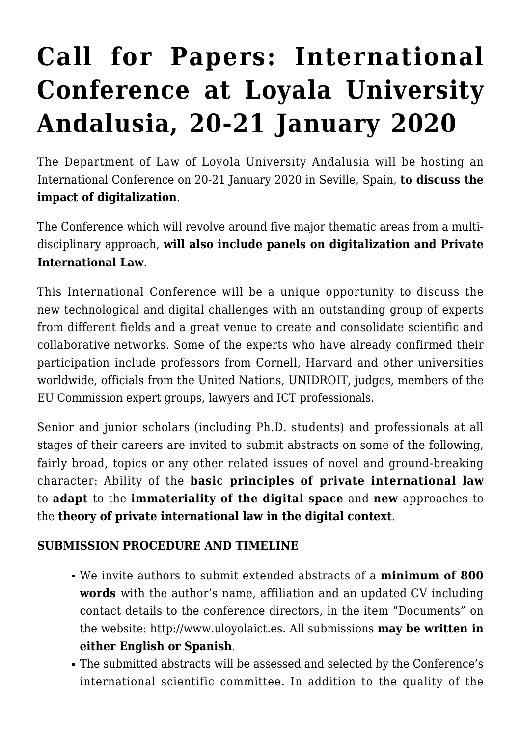# **[Call for Papers: International](https://conflictoflaws.net/2019/call-for-papers-international-conference-at-loyala-university-andalusia-20-21-january-2020/) [Conference at Loyala University](https://conflictoflaws.net/2019/call-for-papers-international-conference-at-loyala-university-andalusia-20-21-january-2020/) [Andalusia, 20-21 January 2020](https://conflictoflaws.net/2019/call-for-papers-international-conference-at-loyala-university-andalusia-20-21-january-2020/)**

The Department of Law of Loyola University Andalusia will be hosting an International Conference on 20-21 January 2020 in Seville, Spain, **to discuss the impact of digitalization**.

The [Conference w](http://www.uloyolaict.es)hich will revolve around five major thematic areas from a multidisciplinary approach, **will also include panels on digitalization and Private International Law**.

This International Conference will be a unique opportunity to discuss the new technological and digital challenges with an outstanding group of experts from different fields and a great venue to create and consolidate scientific and collaborative networks. Some of the experts who have already confirmed their participation include professors from Cornell, Harvard and other universities worldwide, officials from the United Nations, UNIDROIT, judges, members of the EU Commission expert groups, lawyers and ICT professionals.

Senior and junior scholars (including Ph.D. students) and professionals at all stages of their careers are invited to submit abstracts on some of the following, fairly broad, topics or any other related issues of novel and ground-breaking character: Ability of the **basic principles of private international law** to **adapt** to the **immateriality of the digital space** and **new** approaches to the **theory of private international law in the digital context**.

## **SUBMISSION PROCEDURE AND TIMELINE**

- We invite authors to submit extended abstracts of a **minimum of 800 words** with the author's name, affiliation and an updated CV including contact details to the conference directors, in the item "Documents" on the website: [http://www.uloyolaict.es.](http://www.uloyolaict.es) All submissions **may be written in either English or Spanish**.
- The submitted abstracts will be assessed and selected by the Conference's international scientific committee. In addition to the quality of the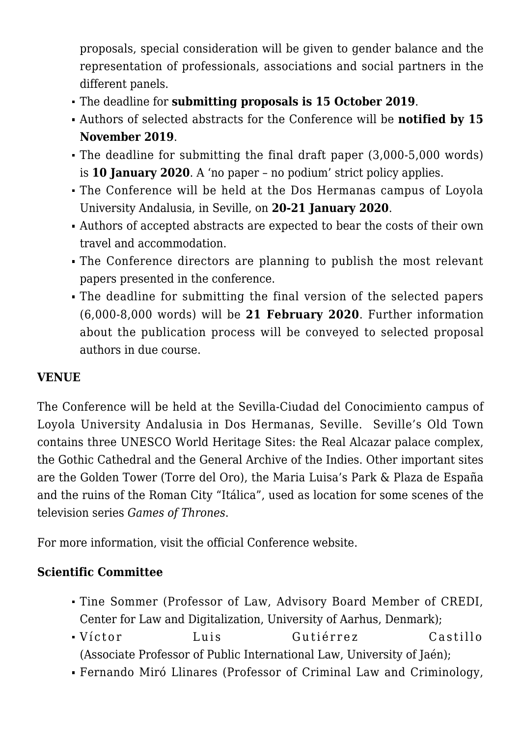proposals, special consideration will be given to gender balance and the representation of professionals, associations and social partners in the different panels.

- The deadline for **submitting proposals is 15 October 2019**.
- Authors of selected abstracts for the Conference will be **notified by 15 November 2019**.
- The deadline for submitting the final draft paper (3,000-5,000 words) is **10 January 2020**. A 'no paper – no podium' strict policy applies.
- The Conference will be held at the Dos Hermanas campus of Loyola University Andalusia, in Seville, on **20-21 January 2020**.
- Authors of accepted abstracts are expected to bear the costs of their own travel and accommodation.
- The Conference directors are planning to publish the most relevant papers presented in the conference.
- The deadline for submitting the final version of the selected papers (6,000-8,000 words) will be **21 February 2020**. Further information about the publication process will be conveyed to selected proposal authors in due course.

# **VENUE**

The Conference will be held at the Sevilla-Ciudad del Conocimiento campus of Loyola University Andalusia in Dos Hermanas, Seville. Seville's Old Town contains three UNESCO World Heritage Sites: the Real Alcazar palace complex, the Gothic Cathedral and the General Archive of the Indies. Other important sites are the Golden Tower (Torre del Oro), the Maria Luisa's Park & Plaza de España and the ruins of the Roman City "Itálica", used as location for some scenes of the television series *Games of Thrones*.

For more information, visit the official [Conference website.](http://www.uloyolaict.es)

## **Scientific Committee**

- Tine Sommer (Professor of Law, Advisory Board Member of CREDI, Center for Law and Digitalization, University of Aarhus, Denmark);
- Víctor Luis Gutiérrez Castillo (Associate Professor of Public International Law, University of Jaén);
- Fernando Miró Llinares (Professor of Criminal Law and Criminology,